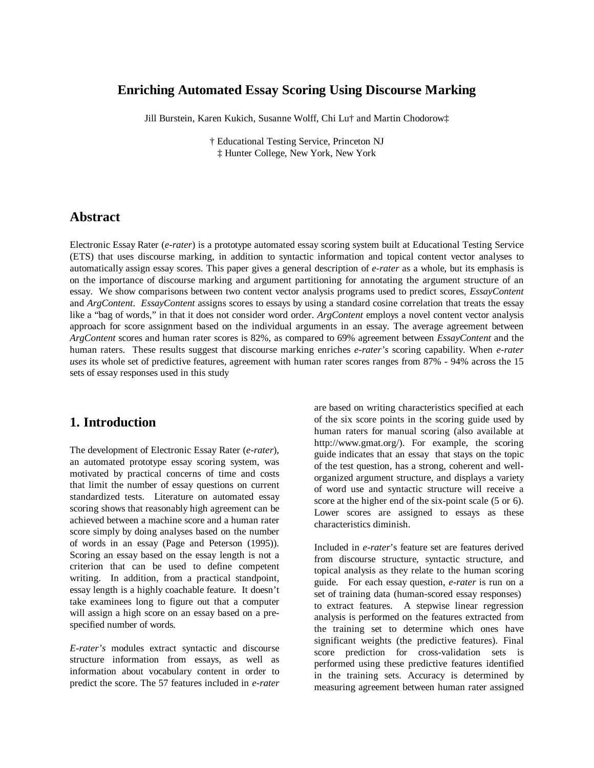## **Enriching Automated Essay Scoring Using Discourse Marking**

Jill Burstein, Karen Kukich, Susanne Wolff, Chi Lu† and Martin Chodorow‡

† Educational Testing Service, Princeton NJ ‡ Hunter College, New York, New York

### **Abstract**

Electronic Essay Rater (*e-rater*) is a prototype automated essay scoring system built at Educational Testing Service (ETS) that uses discourse marking, in addition to syntactic information and topical content vector analyses to automatically assign essay scores. This paper gives a general description of *e-rater* as a whole, but its emphasis is on the importance of discourse marking and argument partitioning for annotating the argument structure of an essay. We show comparisons between two content vector analysis programs used to predict scores, *EssayContent* and *ArgContent*. *EssayContent* assigns scores to essays by using a standard cosine correlation that treats the essay like a "bag of words," in that it does not consider word order. *ArgContent* employs a novel content vector analysis approach for score assignment based on the individual arguments in an essay. The average agreement between *ArgContent* scores and human rater scores is 82%, as compared to 69% agreement between *EssayContent* and the human raters. These results suggest that discourse marking enriches *e-rater's* scoring capability. When *e-rater uses* its whole set of predictive features, agreement with human rater scores ranges from 87% - 94% across the 15 sets of essay responses used in this study

## **1. Introduction**

The development of Electronic Essay Rater (*e-rater*), an automated prototype essay scoring system, was motivated by practical concerns of time and costs that limit the number of essay questions on current standardized tests. Literature on automated essay scoring shows that reasonably high agreement can be achieved between a machine score and a human rater score simply by doing analyses based on the number of words in an essay (Page and Peterson (1995)). Scoring an essay based on the essay length is not a criterion that can be used to define competent writing. In addition, from a practical standpoint, essay length is a highly coachable feature. It doesn't take examinees long to figure out that a computer will assign a high score on an essay based on a prespecified number of words*.*

*E-rater's* modules extract syntactic and discourse structure information from essays, as well as information about vocabulary content in order to predict the score. The 57 features included in *e-rater*

are based on writing characteristics specified at each of the six score points in the scoring guide used by human raters for manual scoring (also available at http://www.gmat.org/). For example, the scoring guide indicates that an essay that stays on the topic of the test question, has a strong, coherent and wellorganized argument structure, and displays a variety of word use and syntactic structure will receive a score at the higher end of the six-point scale (5 or 6). Lower scores are assigned to essays as these characteristics diminish.

Included in *e-rater*'s feature set are features derived from discourse structure, syntactic structure, and topical analysis as they relate to the human scoring guide. For each essay question, *e-rater* is run on a set of training data (human-scored essay responses) to extract features. A stepwise linear regression analysis is performed on the features extracted from the training set to determine which ones have significant weights (the predictive features). Final score prediction for cross-validation sets is performed using these predictive features identified in the training sets. Accuracy is determined by measuring agreement between human rater assigned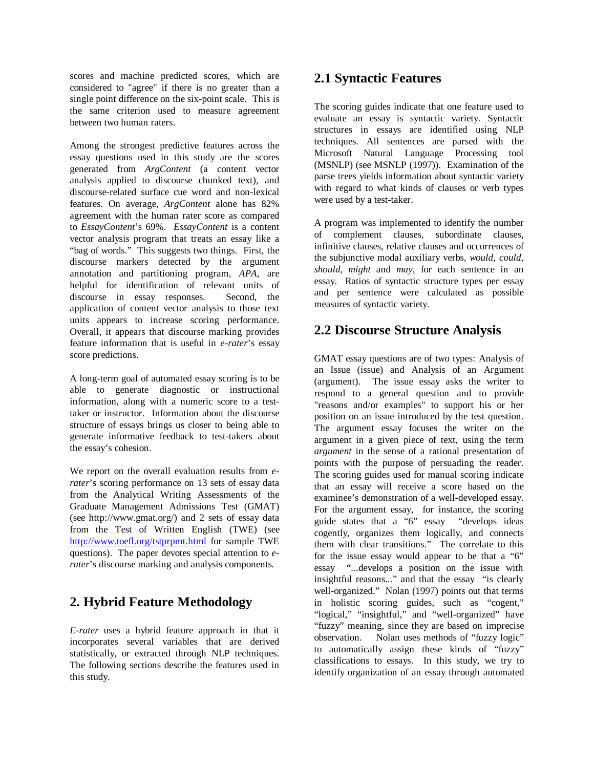scores and machine predicted scores, which are considered to "agree" if there is no greater than a single point difference on the six-point scale. This is the same criterion used to measure agreement between two human raters.

Among the strongest predictive features across the essay questions used in this study are the scores generated from *ArgContent* (a content vector analysis applied to discourse chunked text), and discourse-related surface cue word and non-lexical features. On average, *ArgContent* alone has 82% agreement with the human rater score as compared to *EssayContent*'s 69%. *EssayContent* is a content vector analysis program that treats an essay like a "bag of words." This suggests two things. First, the discourse markers detected by the argument annotation and partitioning program, *APA,* are helpful for identification of relevant units of discourse in essay responses. Second, the application of content vector analysis to those text units appears to increase scoring performance. Overall, it appears that discourse marking provides feature information that is useful in *e-rater*'s essay score predictions.

A long-term goal of automated essay scoring is to be able to generate diagnostic or instructional information, along with a numeric score to a testtaker or instructor. Information about the discourse structure of essays brings us closer to being able to generate informative feedback to test-takers about the essay's cohesion.

We report on the overall evaluation results from *erater*'s scoring performance on 13 sets of essay data from the Analytical Writing Assessments of the Graduate Management Admissions Test (GMAT) (see http://www.gmat.org/) and 2 sets of essay data from the Test of Written English (TWE) (see http://www.toefl.org/tstprpmt.html for sample TWE questions). The paper devotes special attention to *erater*'s discourse marking and analysis components*.*

# **2. Hybrid Feature Methodology**

*E-rater* uses a hybrid feature approach in that it incorporates several variables that are derived statistically, or extracted through NLP techniques. The following sections describe the features used in this study.

# **2.1 Syntactic Features**

The scoring guides indicate that one feature used to evaluate an essay is syntactic variety. Syntactic structures in essays are identified using NLP techniques. All sentences are parsed with the Microsoft Natural Language Processing tool (MSNLP) (see MSNLP (1997)). Examination of the parse trees yields information about syntactic variety with regard to what kinds of clauses or verb types were used by a test-taker.

A program was implemented to identify the number of complement clauses, subordinate clauses, infinitive clauses, relative clauses and occurrences of the subjunctive modal auxiliary verbs*, would, could, should, might* and *may*, for each sentence in an essay. Ratios of syntactic structure types per essay and per sentence were calculated as possible measures of syntactic variety.

# **2.2 Discourse Structure Analysis**

GMAT essay questions are of two types: Analysis of an Issue (issue) and Analysis of an Argument (argument). The issue essay asks the writer to respond to a general question and to provide "reasons and/or examples" to support his or her position on an issue introduced by the test question. The argument essay focuses the writer on the argument in a given piece of text, using the term *argument* in the sense of a rational presentation of points with the purpose of persuading the reader. The scoring guides used for manual scoring indicate that an essay will receive a score based on the examinee's demonstration of a well-developed essay. For the argument essay, for instance, the scoring guide states that a "6" essay "develops ideas cogently, organizes them logically, and connects them with clear transitions." The correlate to this for the issue essay would appear to be that a "6" essay "...develops a position on the issue with insightful reasons..." and that the essay "is clearly well-organized." Nolan (1997) points out that terms in holistic scoring guides, such as "cogent," "logical," "insightful," and "well-organized" have "fuzzy" meaning, since they are based on imprecise observation. Nolan uses methods of "fuzzy logic" to automatically assign these kinds of "fuzzy" classifications to essays. In this study, we try to identify organization of an essay through automated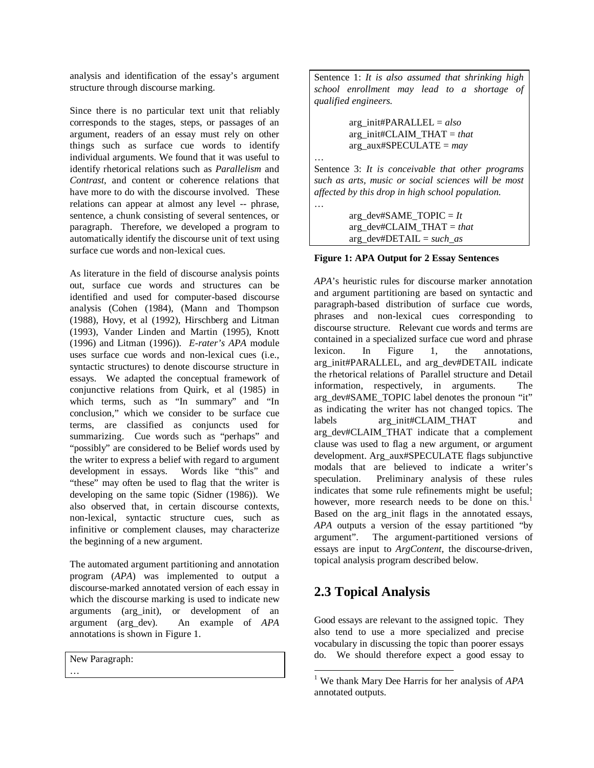analysis and identification of the essay's argument structure through discourse marking.

Since there is no particular text unit that reliably corresponds to the stages, steps, or passages of an argument, readers of an essay must rely on other things such as surface cue words to identify individual arguments. We found that it was useful to identify rhetorical relations such as *Parallelism* and *Contrast*, and content or coherence relations that have more to do with the discourse involved. These relations can appear at almost any level -- phrase, sentence, a chunk consisting of several sentences, or paragraph. Therefore, we developed a program to automatically identify the discourse unit of text using surface cue words and non-lexical cues.

As literature in the field of discourse analysis points out, surface cue words and structures can be identified and used for computer-based discourse analysis (Cohen (1984), (Mann and Thompson (1988), Hovy, et al (1992), Hirschberg and Litman (1993), Vander Linden and Martin (1995), Knott (1996) and Litman (1996)). *E-rater's APA* module uses surface cue words and non-lexical cues (i.e., syntactic structures) to denote discourse structure in essays. We adapted the conceptual framework of conjunctive relations from Quirk, et al (1985) in which terms, such as "In summary" and "In conclusion," which we consider to be surface cue terms, are classified as conjuncts used for summarizing. Cue words such as "perhaps" and "possibly" are considered to be Belief words used by the writer to express a belief with regard to argument development in essays. Words like "this" and "these" may often be used to flag that the writer is developing on the same topic (Sidner (1986)). We also observed that, in certain discourse contexts, non-lexical, syntactic structure cues, such as infinitive or complement clauses, may characterize the beginning of a new argument.

The automated argument partitioning and annotation program (*APA*) was implemented to output a discourse-marked annotated version of each essay in which the discourse marking is used to indicate new arguments (arg\_init), or development of an argument (arg\_dev). An example of *APA* annotations is shown in Figure 1.

New Paragraph:

…

Sentence 1: *It is also assumed that shrinking high school enrollment may lead to a shortage of qualified engineers.*

> arg\_init#PARALLEL = *also* arg\_init#CLAIM\_THAT = *that* arg\_aux#SPECULATE = *may*

…

…

Sentence 3: *It is conceivable that other programs such as arts, music or social sciences will be most affected by this drop in high school population.*

> $arg\_dev#SAME\_TOPIC = It$ arg\_dev#CLAIM\_THAT = *that* arg\_dev#DETAIL = *such\_as*

### **Figure 1: APA Output for 2 Essay Sentences**

*APA*'s heuristic rules for discourse marker annotation and argument partitioning are based on syntactic and paragraph-based distribution of surface cue words, phrases and non-lexical cues corresponding to discourse structure. Relevant cue words and terms are contained in a specialized surface cue word and phrase lexicon. In Figure 1, the annotations, arg\_init#PARALLEL, and arg\_dev#DETAIL indicate the rhetorical relations of Parallel structure and Detail information, respectively, in arguments. The arg\_dev#SAME\_TOPIC label denotes the pronoun "it" as indicating the writer has not changed topics. The labels arg\_init#CLAIM\_THAT and arg\_dev#CLAIM\_THAT indicate that a complement clause was used to flag a new argument, or argument development. Arg\_aux#SPECULATE flags subjunctive modals that are believed to indicate a writer's speculation. Preliminary analysis of these rules indicates that some rule refinements might be useful; however, more research needs to be done on this.<sup>1</sup> Based on the arg\_init flags in the annotated essays, *APA* outputs a version of the essay partitioned "by argument". The argument-partitioned versions of essays are input to *ArgContent*, the discourse-driven, topical analysis program described below.

## **2.3 Topical Analysis**

Good essays are relevant to the assigned topic. They also tend to use a more specialized and precise vocabulary in discussing the topic than poorer essays do. We should therefore expect a good essay to

<sup>1</sup> We thank Mary Dee Harris for her analysis of *APA* annotated outputs.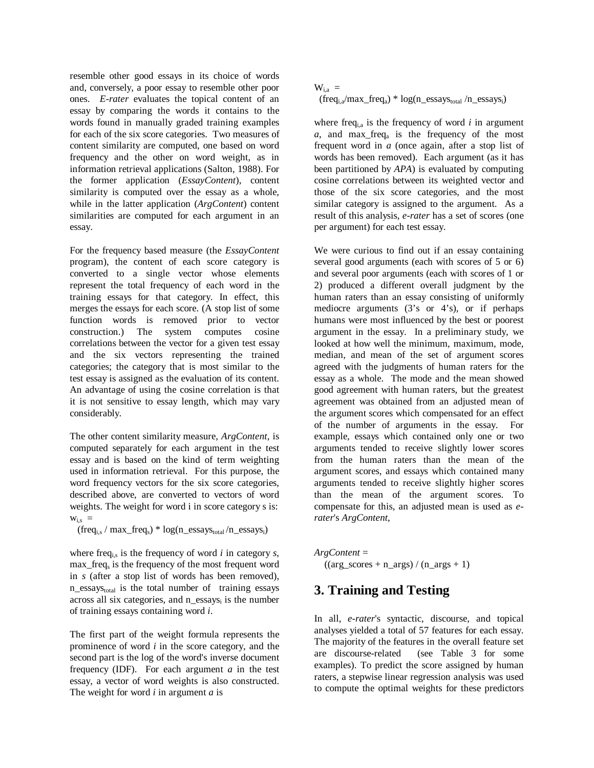resemble other good essays in its choice of words and, conversely, a poor essay to resemble other poor ones. *E-rater* evaluates the topical content of an essay by comparing the words it contains to the words found in manually graded training examples for each of the six score categories. Two measures of content similarity are computed, one based on word frequency and the other on word weight, as in information retrieval applications (Salton, 1988). For the former application (*EssayContent*), content similarity is computed over the essay as a whole, while in the latter application (*ArgContent*) content similarities are computed for each argument in an essay.

For the frequency based measure (the *EssayContent* program), the content of each score category is converted to a single vector whose elements represent the total frequency of each word in the training essays for that category. In effect, this merges the essays for each score. (A stop list of some function words is removed prior to vector construction.) The system computes cosine correlations between the vector for a given test essay and the six vectors representing the trained categories; the category that is most similar to the test essay is assigned as the evaluation of its content. An advantage of using the cosine correlation is that it is not sensitive to essay length, which may vary considerably.

The other content similarity measure, *ArgContent*, is computed separately for each argument in the test essay and is based on the kind of term weighting used in information retrieval. For this purpose, the word frequency vectors for the six score categories, described above, are converted to vectors of word weights. The weight for word i in score category s is:  $W_{i,s}$  =

 $(freq<sub>i,s</sub> / max_freq<sub>s</sub>) * log(n_essays<sub>total</sub> / n_essays<sub>i</sub>)$ 

where freq<sub>i,s</sub> is the frequency of word  $i$  in category  $s$ , max\_freq<sub>s</sub> is the frequency of the most frequent word in *s* (after a stop list of words has been removed),  $n_{\text{res}}$  is the total number of training essays across all six categories, and n\_essays<sub>i</sub> is the number of training essays containing word *i*.

The first part of the weight formula represents the prominence of word *i* in the score category, and the second part is the log of the word's inverse document frequency (IDF). For each argument *a* in the test essay, a vector of word weights is also constructed. The weight for word *i* in argument *a* is

### $W_{i,a}$  =  $(\text{freq}_{i,a}/\text{max\_freq}_a) * \log(n\_essays_{total}/n\_essays_i)$

where freq<sub>i,a</sub> is the frequency of word  $i$  in argument  $a$ , and max freq<sub>a</sub> is the frequency of the most frequent word in *a* (once again, after a stop list of words has been removed). Each argument (as it has been partitioned by *APA*) is evaluated by computing cosine correlations between its weighted vector and those of the six score categories, and the most similar category is assigned to the argument. As a result of this analysis, *e-rater* has a set of scores (one per argument) for each test essay.

We were curious to find out if an essay containing several good arguments (each with scores of 5 or 6) and several poor arguments (each with scores of 1 or 2) produced a different overall judgment by the human raters than an essay consisting of uniformly mediocre arguments (3's or 4's), or if perhaps humans were most influenced by the best or poorest argument in the essay. In a preliminary study, we looked at how well the minimum, maximum, mode, median, and mean of the set of argument scores agreed with the judgments of human raters for the essay as a whole. The mode and the mean showed good agreement with human raters, but the greatest agreement was obtained from an adjusted mean of the argument scores which compensated for an effect of the number of arguments in the essay. For example, essays which contained only one or two arguments tended to receive slightly lower scores from the human raters than the mean of the argument scores, and essays which contained many arguments tended to receive slightly higher scores than the mean of the argument scores. To compensate for this, an adjusted mean is used as *erater*'s *ArgContent*,

*ArgContent* =  $((arg_scores + n_{args}) / (n_{args} + 1))$ 

## **3. Training and Testing**

In all, *e-rater*'s syntactic, discourse, and topical analyses yielded a total of 57 features for each essay. The majority of the features in the overall feature set are discourse-related (see Table 3 for some examples). To predict the score assigned by human raters, a stepwise linear regression analysis was used to compute the optimal weights for these predictors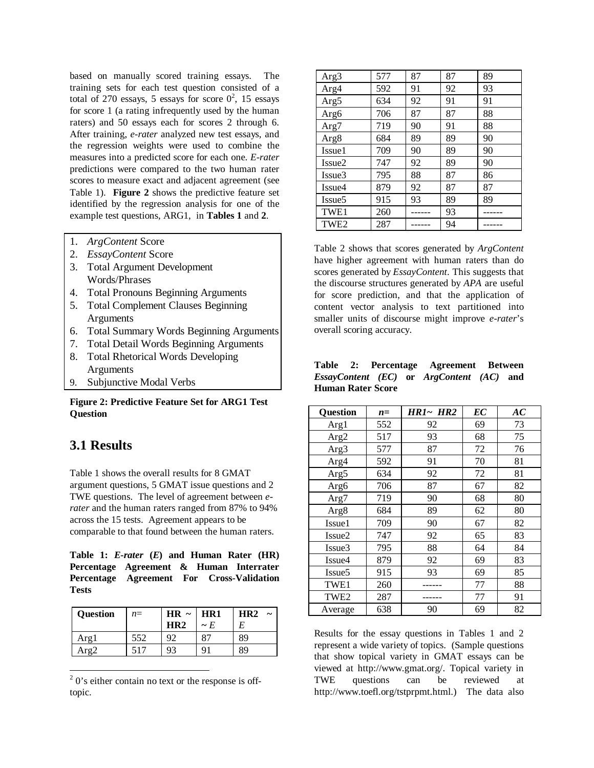based on manually scored training essays. The training sets for each test question consisted of a total of 270 essays, 5 essays for score  $0^2$ , 15 essays for score 1 (a rating infrequently used by the human raters) and 50 essays each for scores 2 through 6. After training, *e-rater* analyzed new test essays, and the regression weights were used to combine the measures into a predicted score for each one. *E-rater* predictions were compared to the two human rater scores to measure exact and adjacent agreement (see Table 1). **Figure 2** shows the predictive feature set identified by the regression analysis for one of the example test questions, ARG1, in **Tables 1** and **2**.

- 1. *ArgContent* Score
- 2. *EssayContent* Score
- 3. Total Argument Development Words/Phrases
- 4. Total Pronouns Beginning Arguments
- 5. Total Complement Clauses Beginning **Arguments**
- 6. Total Summary Words Beginning Arguments
- 7. Total Detail Words Beginning Arguments
- 8. Total Rhetorical Words Developing Arguments
- 9. Subjunctive Modal Verbs

### **Figure 2: Predictive Feature Set for ARG1 Test Question**

## **3.1 Results**

Table 1 shows the overall results for 8 GMAT argument questions, 5 GMAT issue questions and 2 TWE questions. The level of agreement between *erater* and the human raters ranged from 87% to 94% across the 15 tests. Agreement appears to be comparable to that found between the human raters.

**Table 1:** *E-rater* **(***E***) and Human Rater (HR) Percentage Agreement & Human Interrater Percentage Agreement For Cross-Validation Tests**

| Question | $n =$ | HR $\sim$ | HR1      | HR2 |
|----------|-------|-----------|----------|-----|
|          |       | HR2       | $\sim E$ | E   |
| Arg l    | 552   |           |          | 89  |
| Arg^     |       |           |          | 89  |

 $2$  0's either contain no text or the response is offtopic.

| Arg3               | 577 | 87 | 87 | 89 |
|--------------------|-----|----|----|----|
| Arg4               | 592 | 91 | 92 | 93 |
| Arg5               | 634 | 92 | 91 | 91 |
| Arg6               | 706 | 87 | 87 | 88 |
| Arg7               | 719 | 90 | 91 | 88 |
| Arg8               | 684 | 89 | 89 | 90 |
| Issue1             | 709 | 90 | 89 | 90 |
| Issue <sub>2</sub> | 747 | 92 | 89 | 90 |
| Issue3             | 795 | 88 | 87 | 86 |
| Issue4             | 879 | 92 | 87 | 87 |
| Issue <sub>5</sub> | 915 | 93 | 89 | 89 |
| TWE1               | 260 |    | 93 |    |
| TWE <sub>2</sub>   | 287 |    | 94 |    |

Table 2 shows that scores generated by *ArgContent* have higher agreement with human raters than do scores generated by *EssayContent*. This suggests that the discourse structures generated by *APA* are useful for score prediction, and that the application of content vector analysis to text partitioned into smaller units of discourse might improve *e-rater*'s overall scoring accuracy.

|                          |  | Table 2: Percentage Agreement Between        |  |
|--------------------------|--|----------------------------------------------|--|
|                          |  | $EssayContent$ (EC) or $ArgContent$ (AC) and |  |
| <b>Human Rater Score</b> |  |                                              |  |

|                    |       | <b>HR1~ HR2</b> | EC | AC |
|--------------------|-------|-----------------|----|----|
| <b>Question</b>    | $n =$ |                 |    |    |
| Arg1               | 552   | 92              | 69 | 73 |
| Arg2               | 517   | 93              | 68 | 75 |
| Arg3               | 577   | 87              | 72 | 76 |
| Arg4               | 592   | 91              | 70 | 81 |
| Arg5               | 634   | 92              | 72 | 81 |
| Arg6               | 706   | 87              | 67 | 82 |
| Arg7               | 719   | 90              | 68 | 80 |
| Arg8               | 684   | 89              | 62 | 80 |
| Issue1             | 709   | 90              | 67 | 82 |
| Issue <sub>2</sub> | 747   | 92              | 65 | 83 |
| Issue3             | 795   | 88              | 64 | 84 |
| Issue4             | 879   | 92              | 69 | 83 |
| Issue <sub>5</sub> | 915   | 93              | 69 | 85 |
| TWE1               | 260   |                 | 77 | 88 |
| TWE <sub>2</sub>   | 287   |                 | 77 | 91 |
| Average            | 638   | 90              | 69 | 82 |

Results for the essay questions in Tables 1 and 2 represent a wide variety of topics. (Sample questions that show topical variety in GMAT essays can be viewed at http://www.gmat.org/. Topical variety in TWE questions can be reviewed at http://www.toefl.org/tstprpmt.html.) The data also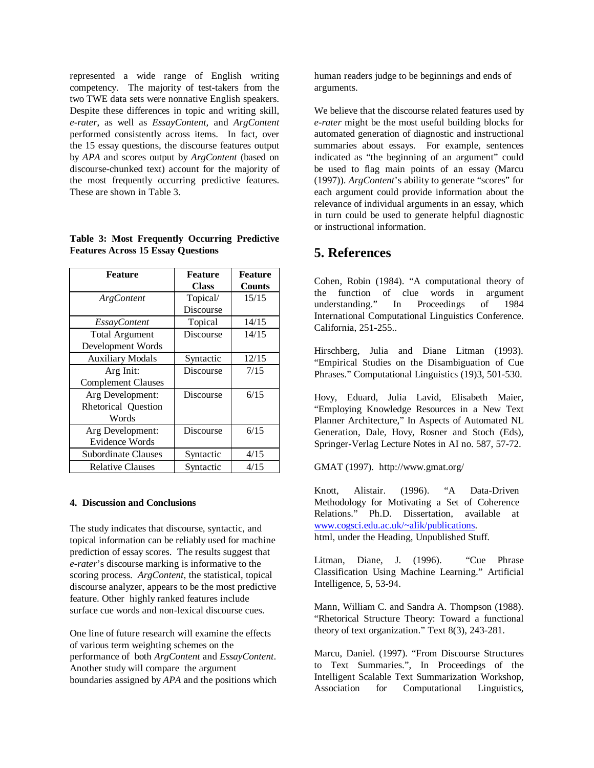represented a wide range of English writing competency. The majority of test-takers from the two TWE data sets were nonnative English speakers. Despite these differences in topic and writing skill, *e-rater*, as well as *EssayContent,* and *ArgContent* performed consistently across items. In fact, over the 15 essay questions, the discourse features output by *APA* and scores output by *ArgContent* (based on discourse-chunked text) account for the majority of the most frequently occurring predictive features. These are shown in Table 3.

|  | Table 3: Most Frequently Occurring Predictive |  |
|--|-----------------------------------------------|--|
|  | <b>Features Across 15 Essay Questions</b>     |  |

| <b>Feature</b>            | <b>Feature</b> | <b>Feature</b> |  |
|---------------------------|----------------|----------------|--|
|                           | <b>Class</b>   | <b>Counts</b>  |  |
| ArgContent                | Topical/       | 15/15          |  |
|                           | Discourse      |                |  |
| <b>EssayContent</b>       | Topical        | 14/15          |  |
| <b>Total Argument</b>     | Discourse      | 14/15          |  |
| Development Words         |                |                |  |
| <b>Auxiliary Modals</b>   | Syntactic      | 12/15          |  |
| Arg Init:                 | Discourse      | 7/15           |  |
| <b>Complement Clauses</b> |                |                |  |
| Arg Development:          | Discourse      | 6/15           |  |
| Rhetorical Question       |                |                |  |
| Words                     |                |                |  |
| Arg Development:          | Discourse      | 6/15           |  |
| <b>Evidence Words</b>     |                |                |  |
| Subordinate Clauses       | Syntactic      | 4/15           |  |
| <b>Relative Clauses</b>   | Syntactic      | 4/15           |  |

#### **4. Discussion and Conclusions**

The study indicates that discourse, syntactic, and topical information can be reliably used for machine prediction of essay scores. The results suggest that *e-rater*'s discourse marking is informative to the scoring process. *ArgContent*, the statistical, topical discourse analyzer, appears to be the most predictive feature. Other highly ranked features include surface cue words and non-lexical discourse cues.

One line of future research will examine the effects of various term weighting schemes on the performance of both *ArgContent* and *EssayContent*. Another study will compare the argument boundaries assigned by *APA* and the positions which human readers judge to be beginnings and ends of arguments.

We believe that the discourse related features used by *e-rater* might be the most useful building blocks for automated generation of diagnostic and instructional summaries about essays. For example, sentences indicated as "the beginning of an argument" could be used to flag main points of an essay (Marcu (1997)). *ArgContent*'s ability to generate "scores" for each argument could provide information about the relevance of individual arguments in an essay, which in turn could be used to generate helpful diagnostic or instructional information.

### **5. References**

Cohen, Robin (1984). "A computational theory of the function of clue words in argument understanding." In Proceedings of 1984 International Computational Linguistics Conference. California, 251-255..

Hirschberg, Julia and Diane Litman (1993). "Empirical Studies on the Disambiguation of Cue Phrases." Computational Linguistics (19)3, 501-530.

Hovy, Eduard, Julia Lavid, Elisabeth Maier, "Employing Knowledge Resources in a New Text Planner Architecture," In Aspects of Automated NL Generation, Dale, Hovy, Rosner and Stoch (Eds), Springer-Verlag Lecture Notes in AI no. 587, 57-72.

GMAT (1997). http://www.gmat.org/

Knott, Alistair. (1996). "A Data-Driven Methodology for Motivating a Set of Coherence Relations." Ph.D. Dissertation, available at www.cogsci.edu.ac.uk/~alik/publications. html, under the Heading, Unpublished Stuff.

Litman, Diane, J. (1996). "Cue Phrase Classification Using Machine Learning." Artificial Intelligence, 5, 53-94.

Mann, William C. and Sandra A. Thompson (1988). "Rhetorical Structure Theory: Toward a functional theory of text organization." Text 8(3), 243-281.

Marcu, Daniel. (1997). "From Discourse Structures to Text Summaries.", In Proceedings of the Intelligent Scalable Text Summarization Workshop, Association for Computational Linguistics,